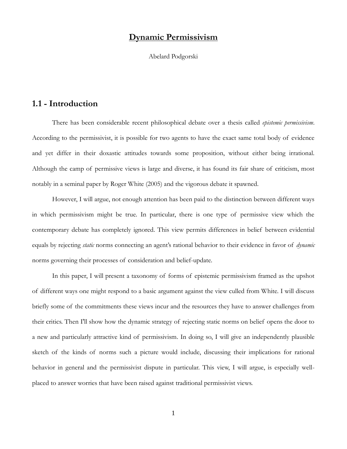## **Dynamic Permissivism**

Abelard Podgorski

#### **1.1 - Introduction**

There has been considerable recent philosophical debate over a thesis called *epistemic permissivism*. According to the permissivist, it is possible for two agents to have the exact same total body of evidence and yet differ in their doxastic attitudes towards some proposition, without either being irrational. Although the camp of permissive views is large and diverse, it has found its fair share of criticism, most notably in a seminal paper by Roger White (2005) and the vigorous debate it spawned.

However, I will argue, not enough attention has been paid to the distinction between different ways in which permissivism might be true. In particular, there is one type of permissive view which the contemporary debate has completely ignored. This view permits differences in belief between evidential equals by rejecting *static* norms connecting an agent's rational behavior to their evidence in favor of *dynamic*  norms governing their processes of consideration and belief-update.

In this paper, I will present a taxonomy of forms of epistemic permissivism framed as the upshot of different ways one might respond to a basic argument against the view culled from White. I will discuss briefly some of the commitments these views incur and the resources they have to answer challenges from their critics. Then I'll show how the dynamic strategy of rejecting static norms on belief opens the door to a new and particularly attractive kind of permissivism. In doing so, I will give an independently plausible sketch of the kinds of norms such a picture would include, discussing their implications for rational behavior in general and the permissivist dispute in particular. This view, I will argue, is especially wellplaced to answer worries that have been raised against traditional permissivist views.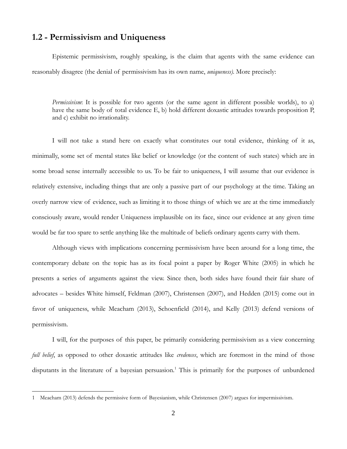#### **1.2 - Permissivism and Uniqueness**

Epistemic permissivism, roughly speaking, is the claim that agents with the same evidence can reasonably disagree (the denial of permissivism has its own name, *uniqueness).* More precisely:

*Permissivism*: It is possible for two agents (or the same agent in different possible worlds), to a) have the same body of total evidence E, b) hold different doxastic attitudes towards proposition P, and c) exhibit no irrationality.

I will not take a stand here on exactly what constitutes our total evidence, thinking of it as, minimally, some set of mental states like belief or knowledge (or the content of such states) which are in some broad sense internally accessible to us. To be fair to uniqueness, I will assume that our evidence is relatively extensive, including things that are only a passive part of our psychology at the time. Taking an overly narrow view of evidence, such as limiting it to those things of which we are at the time immediately consciously aware, would render Uniqueness implausible on its face, since our evidence at any given time would be far too spare to settle anything like the multitude of beliefs ordinary agents carry with them.

Although views with implications concerning permissivism have been around for a long time, the contemporary debate on the topic has as its focal point a paper by Roger White (2005) in which he presents a series of arguments against the view. Since then, both sides have found their fair share of advocates – besides White himself, Feldman (2007), Christensen (2007), and Hedden (2015) come out in favor of uniqueness, while Meacham (2013), Schoenfield (2014), and Kelly (2013) defend versions of permissivism.

I will, for the purposes of this paper, be primarily considering permissivism as a view concerning *full belief*, as opposed to other doxastic attitudes like *credences*, which are foremost in the mind of those disputants in the literature of a bayesian persuasion.<sup>1</sup> This is primarily for the purposes of unburdened

 $\overline{a}$ 

<sup>1</sup> Meacham (2013) defends the permissive form of Bayesianism, while Christensen (2007) argues for impermissivism.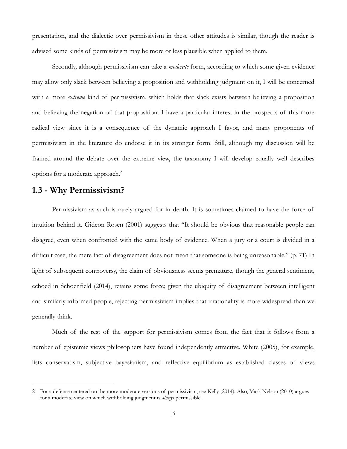presentation, and the dialectic over permissivism in these other attitudes is similar, though the reader is advised some kinds of permissivism may be more or less plausible when applied to them.

Secondly, although permissivism can take a *moderate* form, according to which some given evidence may allow only slack between believing a proposition and withholding judgment on it, I will be concerned with a more *extreme* kind of permissivism, which holds that slack exists between believing a proposition and believing the negation of that proposition. I have a particular interest in the prospects of this more radical view since it is a consequence of the dynamic approach I favor, and many proponents of permissivism in the literature do endorse it in its stronger form. Still, although my discussion will be framed around the debate over the extreme view, the taxonomy I will develop equally well describes options for a moderate approach.<sup>2</sup>

### **1.3 - Why Permissivism?**

 $\overline{a}$ 

Permissivism as such is rarely argued for in depth. It is sometimes claimed to have the force of intuition behind it. Gideon Rosen (2001) suggests that "It should be obvious that reasonable people can disagree, even when confronted with the same body of evidence. When a jury or a court is divided in a difficult case, the mere fact of disagreement does not mean that someone is being unreasonable." (p. 71) In light of subsequent controversy, the claim of obviousness seems premature, though the general sentiment, echoed in Schoenfield (2014), retains some force; given the ubiquity of disagreement between intelligent and similarly informed people, rejecting permissivism implies that irrationality is more widespread than we generally think.

Much of the rest of the support for permissivism comes from the fact that it follows from a number of epistemic views philosophers have found independently attractive. White (2005), for example, lists conservatism, subjective bayesianism, and reflective equilibrium as established classes of views

<sup>2</sup> For a defense centered on the more moderate versions of permissivism, see Kelly (2014). Also, Mark Nelson (2010) argues for a moderate view on which withholding judgment is *always* permissible.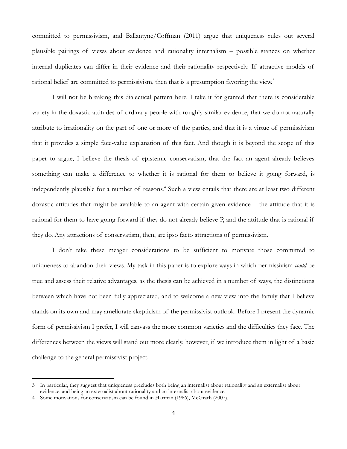committed to permissivism, and Ballantyne/Coffman (2011) argue that uniqueness rules out several plausible pairings of views about evidence and rationality internalism – possible stances on whether internal duplicates can differ in their evidence and their rationality respectively. If attractive models of rational belief are committed to permissivism, then that is a presumption favoring the view.<sup>3</sup>

I will not be breaking this dialectical pattern here. I take it for granted that there is considerable variety in the doxastic attitudes of ordinary people with roughly similar evidence, that we do not naturally attribute to irrationality on the part of one or more of the parties, and that it is a virtue of permissivism that it provides a simple face-value explanation of this fact. And though it is beyond the scope of this paper to argue, I believe the thesis of epistemic conservatism, that the fact an agent already believes something can make a difference to whether it is rational for them to believe it going forward, is independently plausible for a number of reasons.<sup>4</sup> Such a view entails that there are at least two different doxastic attitudes that might be available to an agent with certain given evidence – the attitude that it is rational for them to have going forward if they do not already believe P, and the attitude that is rational if they do. Any attractions of conservatism, then, are ipso facto attractions of permissivism.

I don't take these meager considerations to be sufficient to motivate those committed to uniqueness to abandon their views. My task in this paper is to explore ways in which permissivism *could* be true and assess their relative advantages, as the thesis can be achieved in a number of ways, the distinctions between which have not been fully appreciated, and to welcome a new view into the family that I believe stands on its own and may ameliorate skepticism of the permissivist outlook. Before I present the dynamic form of permissivism I prefer, I will canvass the more common varieties and the difficulties they face. The differences between the views will stand out more clearly, however, if we introduce them in light of a basic challenge to the general permissivist project.

 $\overline{a}$ 

<sup>3</sup> In particular, they suggest that uniqueness precludes both being an internalist about rationality and an externalist about evidence, and being an externalist about rationality and an internalist about evidence.

<sup>4</sup> Some motivations for conservatism can be found in Harman (1986), McGrath (2007).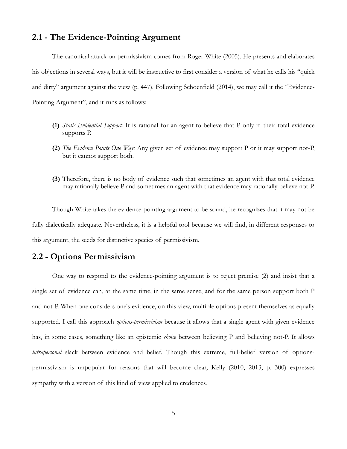# **2.1 - The Evidence-Pointing Argument**

The canonical attack on permissivism comes from Roger White (2005). He presents and elaborates his objections in several ways, but it will be instructive to first consider a version of what he calls his "quick and dirty" argument against the view (p. 447). Following Schoenfield (2014), we may call it the "Evidence-Pointing Argument", and it runs as follows:

- **(1)** *Static Evidential Support:* It is rational for an agent to believe that P only if their total evidence supports P.
- **(2)** *The Evidence Points One Way:* Any given set of evidence may support P or it may support not-P, but it cannot support both.
- **(3)** Therefore, there is no body of evidence such that sometimes an agent with that total evidence may rationally believe P and sometimes an agent with that evidence may rationally believe not-P.

Though White takes the evidence-pointing argument to be sound, he recognizes that it may not be fully dialectically adequate. Nevertheless, it is a helpful tool because we will find, in different responses to this argument, the seeds for distinctive species of permissivism.

# **2.2 - Options Permissivism**

One way to respond to the evidence-pointing argument is to reject premise (2) and insist that a single set of evidence can, at the same time, in the same sense, and for the same person support both P and not-P. When one considers one's evidence, on this view, multiple options present themselves as equally supported. I call this approach *options-permissivism* because it allows that a single agent with given evidence has, in some cases, something like an epistemic *choice* between believing P and believing not-P. It allows *intrapersonal* slack between evidence and belief. Though this extreme, full-belief version of optionspermissivism is unpopular for reasons that will become clear, Kelly (2010, 2013, p. 300) expresses sympathy with a version of this kind of view applied to credences.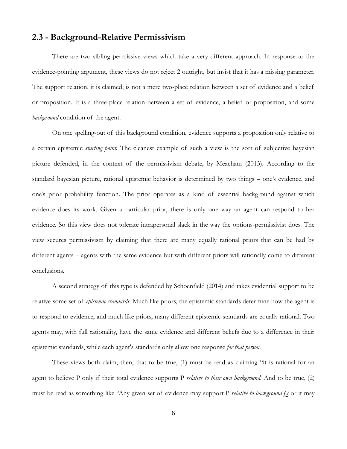## **2.3 - Background-Relative Permissivism**

There are two sibling permissive views which take a very different approach. In response to the evidence-pointing argument, these views do not reject 2 outright, but insist that it has a missing parameter. The support relation, it is claimed, is not a mere two-place relation between a set of evidence and a belief or proposition. It is a three-place relation between a set of evidence, a belief or proposition, and some *background* condition of the agent.

On one spelling-out of this background condition, evidence supports a proposition only relative to a certain epistemic *starting point.* The cleanest example of such a view is the sort of subjective bayesian picture defended, in the context of the permissivism debate, by Meacham (2013). According to the standard bayesian picture, rational epistemic behavior is determined by two things – one's evidence, and one's prior probability function. The prior operates as a kind of essential background against which evidence does its work. Given a particular prior, there is only one way an agent can respond to her evidence. So this view does not tolerate intrapersonal slack in the way the options-permissivist does. The view secures permissivism by claiming that there are many equally rational priors that can be had by different agents – agents with the same evidence but with different priors will rationally come to different conclusions.

A second strategy of this type is defended by Schoenfield (2014) and takes evidential support to be relative some set of *epistemic standards*. Much like priors, the epistemic standards determine how the agent is to respond to evidence, and much like priors, many different epistemic standards are equally rational. Two agents may, with full rationality, have the same evidence and different beliefs due to a difference in their epistemic standards, while each agent's standards only allow one response *for that person.*

These views both claim, then, that to be true, (1) must be read as claiming "it is rational for an agent to believe P only if their total evidence supports P *relative to their own background.* And to be true, (2) must be read as something like "Any given set of evidence may support P *relative to background Q* or it may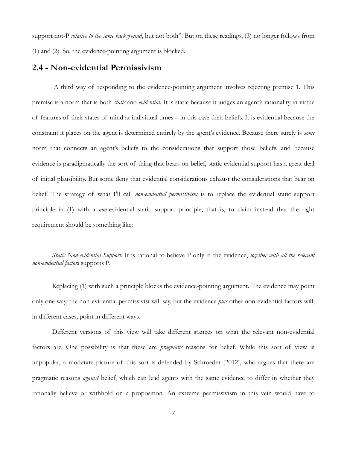support not-P *relative to the same background*, but not both". But on these readings, (3) no longer follows from (1) and (2). So, the evidence-pointing argument is blocked.

## **2.4 - Non-evidential Permissivism**

A third way of responding to the evidence-pointing argument involves rejecting premise 1. This premise is a norm that is both *static* and *evidential.* It is static because it judges an agent's rationality in virtue of features of their states of mind at individual times – in this case their beliefs. It is evidential because the constraint it places on the agent is determined entirely by the agent's evidence. Because there surely is *some*  norm that connects an agent's beliefs to the considerations that support those beliefs, and because evidence is paradigmatically the sort of thing that bears on belief, static evidential support has a great deal of initial plausibility. But some deny that evidential considerations exhaust the considerations that bear on belief. The strategy of what I'll call *non-evidential permissivism* is to replace the evidential static support principle in (1) with a *non*-evidential static support principle, that is, to claim instead that the right requirement should be something like:

*Static Non-evidential Support:* It is rational to believe P only if the evidence, *together with all the relevant non-evidential factors* supports P.

Replacing (1) with such a principle blocks the evidence-pointing argument. The evidence may point only one way, the non-evidential permissivist will say, but the evidence *plus* other non-evidential factors will, in different cases, point in different ways.

Different versions of this view will take different stances on what the relevant non-evidential factors are. One possibility is that these are *pragmatic* reasons for belief. While this sort of view is unpopular, a moderate picture of this sort is defended by Schroeder (2012), who argues that there are pragmatic reasons *against* belief, which can lead agents with the same evidence to differ in whether they rationally believe or withhold on a proposition. An extreme permissivism in this vein would have to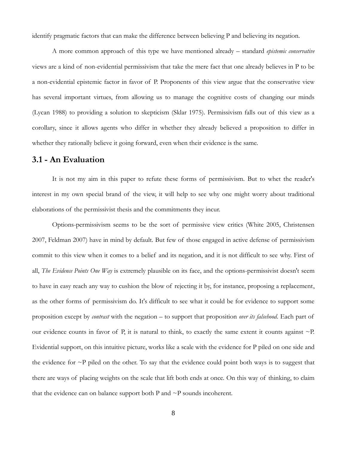identify pragmatic factors that can make the difference between believing P and believing its negation.

A more common approach of this type we have mentioned already – standard *epistemic conservative* views are a kind of non-evidential permissivism that take the mere fact that one already believes in P to be a non-evidential epistemic factor in favor of P. Proponents of this view argue that the conservative view has several important virtues, from allowing us to manage the cognitive costs of changing our minds (Lycan 1988) to providing a solution to skepticism (Sklar 1975). Permissivism falls out of this view as a corollary, since it allows agents who differ in whether they already believed a proposition to differ in whether they rationally believe it going forward, even when their evidence is the same.

#### **3.1 - An Evaluation**

It is not my aim in this paper to refute these forms of permissivism. But to whet the reader's interest in my own special brand of the view, it will help to see why one might worry about traditional elaborations of the permissivist thesis and the commitments they incur.

Options-permissivism seems to be the sort of permissive view critics (White 2005, Christensen 2007, Feldman 2007) have in mind by default. But few of those engaged in active defense of permissivism commit to this view when it comes to a belief and its negation, and it is not difficult to see why. First of all, *The Evidence Points One Way* is extremely plausible on its face, and the options-permissivist doesn't seem to have in easy reach any way to cushion the blow of rejecting it by, for instance, proposing a replacement, as the other forms of permissivism do. It's difficult to see what it could be for evidence to support some proposition except by *contrast* with the negation – to support that proposition *over its falsehood*. Each part of our evidence counts in favor of P, it is natural to think, to exactly the same extent it counts against  $\sim$ P. Evidential support, on this intuitive picture, works like a scale with the evidence for P piled on one side and the evidence for  $\sim$ P piled on the other. To say that the evidence could point both ways is to suggest that there are ways of placing weights on the scale that lift both ends at once. On this way of thinking, to claim that the evidence can on balance support both  $P$  and  $\sim P$  sounds incoherent.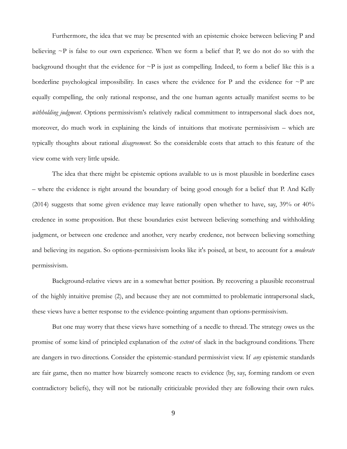Furthermore, the idea that we may be presented with an epistemic choice between believing P and believing  $\sim$ P is false to our own experience. When we form a belief that P, we do not do so with the background thought that the evidence for  $\sim P$  is just as compelling. Indeed, to form a belief like this is a borderline psychological impossibility. In cases where the evidence for P and the evidence for  $\sim$ P are equally compelling, the only rational response, and the one human agents actually manifest seems to be *withholding judgment*. Options permissivism's relatively radical commitment to intrapersonal slack does not, moreover, do much work in explaining the kinds of intuitions that motivate permissivism – which are typically thoughts about rational *disagreement*. So the considerable costs that attach to this feature of the view come with very little upside.

The idea that there might be epistemic options available to us is most plausible in borderline cases – where the evidence is right around the boundary of being good enough for a belief that P. And Kelly (2014) suggests that some given evidence may leave rationally open whether to have, say, 39% or 40% credence in some proposition. But these boundaries exist between believing something and withholding judgment, or between one credence and another, very nearby credence, not between believing something and believing its negation. So options-permissivism looks like it's poised, at best, to account for a *moderate* permissivism.

Background-relative views are in a somewhat better position. By recovering a plausible reconstrual of the highly intuitive premise (2), and because they are not committed to problematic intrapersonal slack, these views have a better response to the evidence-pointing argument than options-permissivism.

But one may worry that these views have something of a needle to thread. The strategy owes us the promise of some kind of principled explanation of the *extent* of slack in the background conditions. There are dangers in two directions. Consider the epistemic-standard permissivist view. If *any* epistemic standards are fair game, then no matter how bizarrely someone reacts to evidence (by, say, forming random or even contradictory beliefs), they will not be rationally criticizable provided they are following their own rules.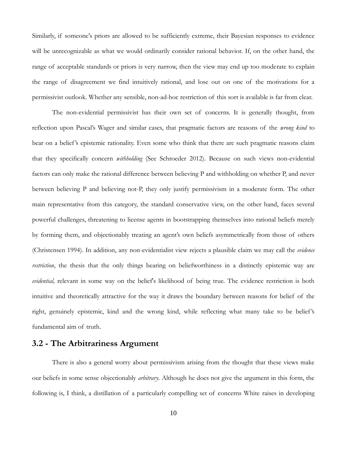Similarly, if someone's priors are allowed to be sufficiently extreme, their Bayesian responses to evidence will be unrecognizable as what we would ordinarily consider rational behavior. If, on the other hand, the range of acceptable standards or priors is very narrow, then the view may end up too moderate to explain the range of disagreement we find intuitively rational, and lose out on one of the motivations for a permissivist outlook. Whether any sensible, non-ad-hoc restriction of this sort is available is far from clear.

The non-evidential permissivist has their own set of concerns. It is generally thought, from reflection upon Pascal's Wager and similar cases, that pragmatic factors are reasons of the *wrong kind* to bear on a belief 's epistemic rationality. Even some who think that there are such pragmatic reasons claim that they specifically concern *withholding* (See Schroeder 2012). Because on such views non-evidential factors can only make the rational difference between believing P and withholding on whether P, and never between believing P and believing not-P, they only justify permissivism in a moderate form. The other main representative from this category, the standard conservative view, on the other hand, faces several powerful challenges, threatening to license agents in bootstrapping themselves into rational beliefs merely by forming them, and objectionably treating an agent's own beliefs asymmetrically from those of others (Christensen 1994). In addition, any non-evidentialist view rejects a plausible claim we may call the *evidence restriction*, the thesis that the only things bearing on beliefworthiness in a distinctly epistemic way are *evidential,* relevant in some way on the belief's likelihood of being true. The evidence restriction is both intuitive and theoretically attractive for the way it draws the boundary between reasons for belief of the right, genuinely epistemic, kind and the wrong kind, while reflecting what many take to be belief 's fundamental aim of truth.

# **3.2 - The Arbitrariness Argument**

There is also a general worry about permissivism arising from the thought that these views make our beliefs in some sense objectionably *arbitrary*. Although he does not give the argument in this form, the following is, I think, a distillation of a particularly compelling set of concerns White raises in developing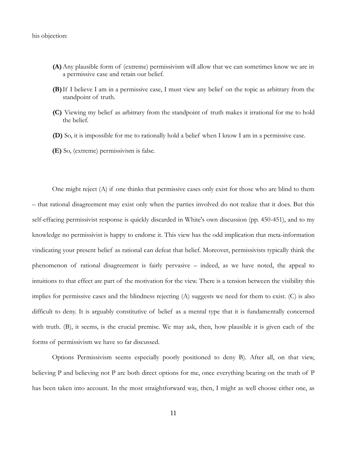#### his objection:

- **(A)**Any plausible form of (extreme) permissivism will allow that we can sometimes know we are in a permissive case and retain our belief.
- **(B)**If I believe I am in a permissive case, I must view any belief on the topic as arbitrary from the standpoint of truth.
- **(C)** Viewing my belief as arbitrary from the standpoint of truth makes it irrational for me to hold the belief.
- **(D)** So, it is impossible for me to rationally hold a belief when I know I am in a permissive case.
- **(E)** So, (extreme) permissivism is false.

One might reject (A) if one thinks that permissive cases only exist for those who are blind to them – that rational disagreement may exist only when the parties involved do not realize that it does. But this self-effacing permissivist response is quickly discarded in White's own discussion (pp. 450-451), and to my knowledge no permissivist is happy to endorse it. This view has the odd implication that meta-information vindicating your present belief as rational can defeat that belief. Moreover, permissivists typically think the phenomenon of rational disagreement is fairly pervasive – indeed, as we have noted, the appeal to intuitions to that effect are part of the motivation for the view. There is a tension between the visibility this implies for permissive cases and the blindness rejecting (A) suggests we need for them to exist. (C) is also difficult to deny. It is arguably constitutive of belief as a mental type that it is fundamentally concerned with truth. (B), it seems, is the crucial premise. We may ask, then, how plausible it is given each of the forms of permissivism we have so far discussed.

Options Permissivism seems especially poorly positioned to deny B). After all, on that view, believing P and believing not P are both direct options for me, once everything bearing on the truth of P has been taken into account. In the most straightforward way, then, I might as well choose either one, as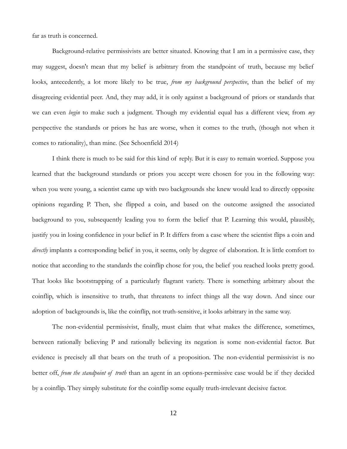far as truth is concerned.

Background-relative permissivists are better situated. Knowing that I am in a permissive case, they may suggest, doesn't mean that my belief is arbitrary from the standpoint of truth, because my belief looks, antecedently, a lot more likely to be true, *from my background perspective*, than the belief of my disagreeing evidential peer. And, they may add, it is only against a background of priors or standards that we can even *begin* to make such a judgment. Though my evidential equal has a different view, from *my* perspective the standards or priors he has are worse, when it comes to the truth, (though not when it comes to rationality), than mine. (See Schoenfield 2014)

I think there is much to be said for this kind of reply. But it is easy to remain worried. Suppose you learned that the background standards or priors you accept were chosen for you in the following way: when you were young, a scientist came up with two backgrounds she knew would lead to directly opposite opinions regarding P. Then, she flipped a coin, and based on the outcome assigned the associated background to you, subsequently leading you to form the belief that P. Learning this would, plausibly, justify you in losing confidence in your belief in P. It differs from a case where the scientist flips a coin and *directly* implants a corresponding belief in you, it seems, only by degree of elaboration. It is little comfort to notice that according to the standards the coinflip chose for you, the belief you reached looks pretty good. That looks like bootstrapping of a particularly flagrant variety. There is something arbitrary about the coinflip, which is insensitive to truth, that threatens to infect things all the way down. And since our adoption of backgrounds is, like the coinflip, not truth-sensitive, it looks arbitrary in the same way.

The non-evidential permissivist, finally, must claim that what makes the difference, sometimes, between rationally believing P and rationally believing its negation is some non-evidential factor. But evidence is precisely all that bears on the truth of a proposition. The non-evidential permissivist is no better off, *from the standpoint of truth* than an agent in an options-permissive case would be if they decided by a coinflip. They simply substitute for the coinflip some equally truth-irrelevant decisive factor.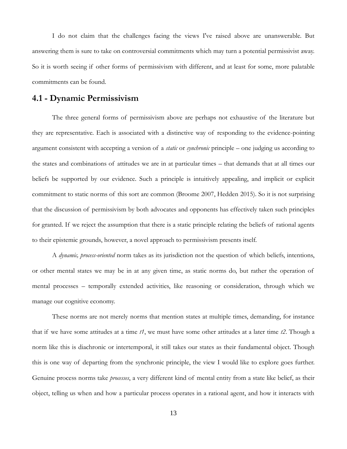I do not claim that the challenges facing the views I've raised above are unanswerable. But answering them is sure to take on controversial commitments which may turn a potential permissivist away. So it is worth seeing if other forms of permissivism with different, and at least for some, more palatable commitments can be found.

## **4.1 - Dynamic Permissivism**

The three general forms of permissivism above are perhaps not exhaustive of the literature but they are representative. Each is associated with a distinctive way of responding to the evidence-pointing argument consistent with accepting a version of a *static* or *synchronic* principle – one judging us according to the states and combinations of attitudes we are in at particular times – that demands that at all times our beliefs be supported by our evidence. Such a principle is intuitively appealing, and implicit or explicit commitment to static norms of this sort are common (Broome 2007, Hedden 2015). So it is not surprising that the discussion of permissivism by both advocates and opponents has effectively taken such principles for granted. If we reject the assumption that there is a static principle relating the beliefs of rational agents to their epistemic grounds, however, a novel approach to permissivism presents itself.

A *dynamic, process-oriented* norm takes as its jurisdiction not the question of which beliefs, intentions, or other mental states we may be in at any given time, as static norms do, but rather the operation of mental processes – temporally extended activities, like reasoning or consideration, through which we manage our cognitive economy.

These norms are not merely norms that mention states at multiple times, demanding, for instance that if we have some attitudes at a time *t1*, we must have some other attitudes at a later time *t2*. Though a norm like this is diachronic or intertemporal, it still takes our states as their fundamental object. Though this is one way of departing from the synchronic principle, the view I would like to explore goes further. Genuine process norms take *processes*, a very different kind of mental entity from a state like belief, as their object, telling us when and how a particular process operates in a rational agent, and how it interacts with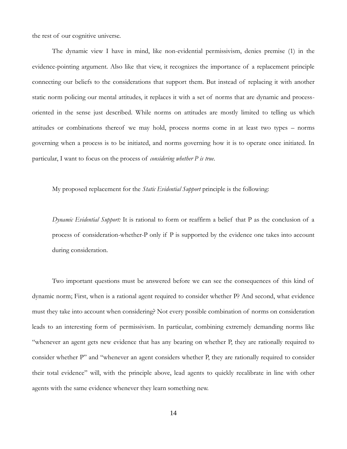the rest of our cognitive universe.

The dynamic view I have in mind, like non-evidential permissivism, denies premise (1) in the evidence-pointing argument. Also like that view, it recognizes the importance of a replacement principle connecting our beliefs to the considerations that support them. But instead of replacing it with another static norm policing our mental attitudes, it replaces it with a set of norms that are dynamic and processoriented in the sense just described. While norms on attitudes are mostly limited to telling us which attitudes or combinations thereof we may hold, process norms come in at least two types – norms governing when a process is to be initiated, and norms governing how it is to operate once initiated. In particular, I want to focus on the process of *considering whether P is true*.

My proposed replacement for the *Static Evidential Support* principle is the following:

*Dynamic Evidential Support:* It is rational to form or reaffirm a belief that P as the conclusion of a process of consideration-whether-P only if P is supported by the evidence one takes into account during consideration.

Two important questions must be answered before we can see the consequences of this kind of dynamic norm; First, when is a rational agent required to consider whether P? And second, what evidence must they take into account when considering? Not every possible combination of norms on consideration leads to an interesting form of permissivism. In particular, combining extremely demanding norms like "whenever an agent gets new evidence that has any bearing on whether P, they are rationally required to consider whether P" and "whenever an agent considers whether P, they are rationally required to consider their total evidence" will, with the principle above, lead agents to quickly recalibrate in line with other agents with the same evidence whenever they learn something new.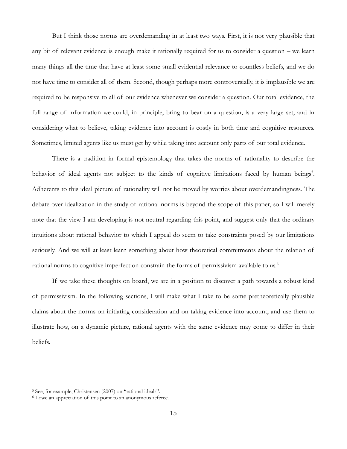But I think those norms are overdemanding in at least two ways. First, it is not very plausible that any bit of relevant evidence is enough make it rationally required for us to consider a question – we learn many things all the time that have at least some small evidential relevance to countless beliefs, and we do not have time to consider all of them. Second, though perhaps more controversially, it is implausible we are required to be responsive to all of our evidence whenever we consider a question. Our total evidence, the full range of information we could, in principle, bring to bear on a question, is a very large set, and in considering what to believe, taking evidence into account is costly in both time and cognitive resources. Sometimes, limited agents like us must get by while taking into account only parts of our total evidence.

There is a tradition in formal epistemology that takes the norms of rationality to describe the behavior of ideal agents not subject to the kinds of cognitive limitations faced by human beings<sup>5</sup>. Adherents to this ideal picture of rationality will not be moved by worries about overdemandingness. The debate over idealization in the study of rational norms is beyond the scope of this paper, so I will merely note that the view I am developing is not neutral regarding this point, and suggest only that the ordinary intuitions about rational behavior to which I appeal do seem to take constraints posed by our limitations seriously. And we will at least learn something about how theoretical commitments about the relation of rational norms to cognitive imperfection constrain the forms of permissivism available to us.<sup>6</sup>

If we take these thoughts on board, we are in a position to discover a path towards a robust kind of permissivism. In the following sections, I will make what I take to be some pretheoretically plausible claims about the norms on initiating consideration and on taking evidence into account, and use them to illustrate how, on a dynamic picture, rational agents with the same evidence may come to differ in their beliefs.

 $\overline{a}$ 

<sup>5</sup> See, for example, Christensen (2007) on "rational ideals".

<sup>&</sup>lt;sup>6</sup> I owe an appreciation of this point to an anonymous referee.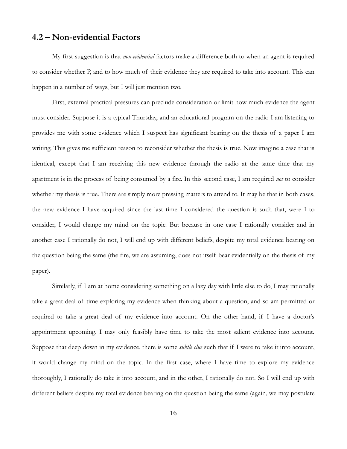## **4.2 – Non-evidential Factors**

My first suggestion is that *non-evidential* factors make a difference both to when an agent is required to consider whether P, and to how much of their evidence they are required to take into account. This can happen in a number of ways, but I will just mention two.

First, external practical pressures can preclude consideration or limit how much evidence the agent must consider. Suppose it is a typical Thursday, and an educational program on the radio I am listening to provides me with some evidence which I suspect has significant bearing on the thesis of a paper I am writing. This gives me sufficient reason to reconsider whether the thesis is true. Now imagine a case that is identical, except that I am receiving this new evidence through the radio at the same time that my apartment is in the process of being consumed by a fire. In this second case, I am required *not* to consider whether my thesis is true. There are simply more pressing matters to attend to. It may be that in both cases, the new evidence I have acquired since the last time I considered the question is such that, were I to consider, I would change my mind on the topic. But because in one case I rationally consider and in another case I rationally do not, I will end up with different beliefs, despite my total evidence bearing on the question being the same (the fire, we are assuming, does not itself bear evidentially on the thesis of my paper).

Similarly, if I am at home considering something on a lazy day with little else to do, I may rationally take a great deal of time exploring my evidence when thinking about a question, and so am permitted or required to take a great deal of my evidence into account. On the other hand, if I have a doctor's appointment upcoming, I may only feasibly have time to take the most salient evidence into account. Suppose that deep down in my evidence, there is some *subtle clue* such that if I were to take it into account, it would change my mind on the topic. In the first case, where I have time to explore my evidence thoroughly, I rationally do take it into account, and in the other, I rationally do not. So I will end up with different beliefs despite my total evidence bearing on the question being the same (again, we may postulate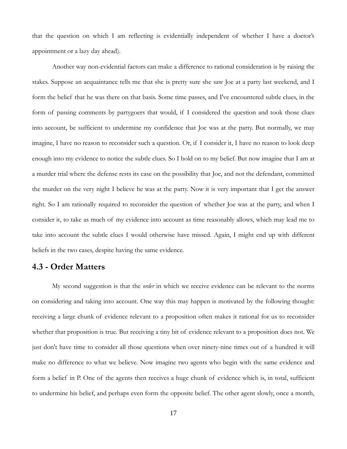that the question on which I am reflecting is evidentially independent of whether I have a doctor's appointment or a lazy day ahead).

Another way non-evidential factors can make a difference to rational consideration is by raising the stakes. Suppose an acquaintance tells me that she is pretty sure she saw Joe at a party last weekend, and I form the belief that he was there on that basis. Some time passes, and I've encountered subtle clues, in the form of passing comments by partygoers that would, if I considered the question and took those clues into account, be sufficient to undermine my confidence that Joe was at the party. But normally, we may imagine, I have no reason to reconsider such a question. Or, if I consider it, I have no reason to look deep enough into my evidence to notice the subtle clues. So I hold on to my belief. But now imagine that I am at a murder trial where the defense rests its case on the possibility that Joe, and not the defendant, committed the murder on the very night I believe he was at the party. Now it is very important that I get the answer right. So I am rationally required to reconsider the question of whether Joe was at the party, and when I consider it, to take as much of my evidence into account as time reasonably allows, which may lead me to take into account the subtle clues I would otherwise have missed. Again, I might end up with different beliefs in the two cases, despite having the same evidence.

# **4.3 - Order Matters**

My second suggestion is that the *order* in which we receive evidence can be relevant to the norms on considering and taking into account. One way this may happen is motivated by the following thought: receiving a large chunk of evidence relevant to a proposition often makes it rational for us to reconsider whether that proposition is true. But receiving a tiny bit of evidence relevant to a proposition does not. We just don't have time to consider all those questions when over ninety-nine times out of a hundred it will make no difference to what we believe. Now imagine two agents who begin with the same evidence and form a belief in P. One of the agents then receives a huge chunk of evidence which is, in total, sufficient to undermine his belief, and perhaps even form the opposite belief. The other agent slowly, once a month,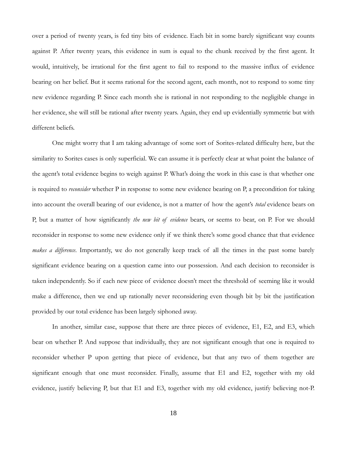over a period of twenty years, is fed tiny bits of evidence. Each bit in some barely significant way counts against P. After twenty years, this evidence in sum is equal to the chunk received by the first agent. It would, intuitively, be irrational for the first agent to fail to respond to the massive influx of evidence bearing on her belief. But it seems rational for the second agent, each month, not to respond to some tiny new evidence regarding P. Since each month she is rational in not responding to the negligible change in her evidence, she will still be rational after twenty years. Again, they end up evidentially symmetric but with different beliefs.

One might worry that I am taking advantage of some sort of Sorites-related difficulty here, but the similarity to Sorites cases is only superficial. We can assume it is perfectly clear at what point the balance of the agent's total evidence begins to weigh against P. What's doing the work in this case is that whether one is required to *reconsider* whether P in response to some new evidence bearing on P, a precondition for taking into account the overall bearing of our evidence, is not a matter of how the agent's *total* evidence bears on P, but a matter of how significantly *the new bit of evidence* bears, or seems to bear, on P. For we should reconsider in response to some new evidence only if we think there's some good chance that that evidence *makes a difference*. Importantly, we do not generally keep track of all the times in the past some barely significant evidence bearing on a question came into our possession. And each decision to reconsider is taken independently. So if each new piece of evidence doesn't meet the threshold of seeming like it would make a difference, then we end up rationally never reconsidering even though bit by bit the justification provided by our total evidence has been largely siphoned away.

In another, similar case, suppose that there are three pieces of evidence, E1, E2, and E3, which bear on whether P. And suppose that individually, they are not significant enough that one is required to reconsider whether P upon getting that piece of evidence, but that any two of them together are significant enough that one must reconsider. Finally, assume that E1 and E2, together with my old evidence, justify believing P, but that E1 and E3, together with my old evidence, justify believing not-P.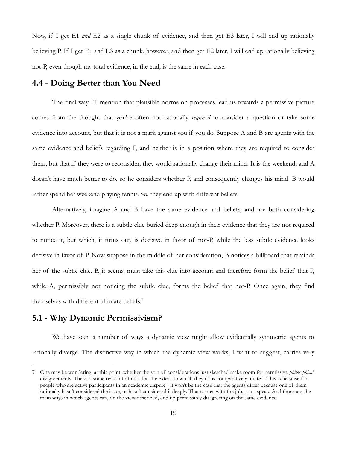Now, if I get E1 *and* E2 as a single chunk of evidence, and then get E3 later, I will end up rationally believing P. If I get E1 and E3 as a chunk, however, and then get E2 later, I will end up rationally believing not-P, even though my total evidence, in the end, is the same in each case.

#### **4.4 - Doing Better than You Need**

The final way I'll mention that plausible norms on processes lead us towards a permissive picture comes from the thought that you're often not rationally *required* to consider a question or take some evidence into account, but that it is not a mark against you if you do. Suppose A and B are agents with the same evidence and beliefs regarding P, and neither is in a position where they are required to consider them, but that if they were to reconsider, they would rationally change their mind. It is the weekend, and A doesn't have much better to do, so he considers whether P, and consequently changes his mind. B would rather spend her weekend playing tennis. So, they end up with different beliefs.

Alternatively, imagine A and B have the same evidence and beliefs, and are both considering whether P. Moreover, there is a subtle clue buried deep enough in their evidence that they are not required to notice it, but which, it turns out, is decisive in favor of not-P, while the less subtle evidence looks decisive in favor of P. Now suppose in the middle of her consideration, B notices a billboard that reminds her of the subtle clue. B, it seems, must take this clue into account and therefore form the belief that P, while A, permissibly not noticing the subtle clue, forms the belief that not-P. Once again, they find themselves with different ultimate beliefs.<sup>7</sup>

# **5.1 - Why Dynamic Permissivism?**

 $\overline{a}$ 

We have seen a number of ways a dynamic view might allow evidentially symmetric agents to rationally diverge. The distinctive way in which the dynamic view works, I want to suggest, carries very

<sup>7</sup> One may be wondering, at this point, whether the sort of considerations just sketched make room for permissive *philosophical* disagreements. There is some reason to think that the extent to which they do is comparatively limited. This is because for people who are active participants in an academic dispute - it won't be the case that the agents differ because one of them rationally hasn't considered the issue, or hasn't considered it deeply. That comes with the job, so to speak. And those are the main ways in which agents can, on the view described, end up permissibly disagreeing on the same evidence.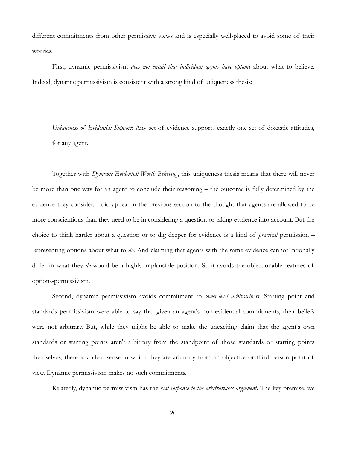different commitments from other permissive views and is especially well-placed to avoid some of their worries.

First, dynamic permissivism *does not entail that individual agents have options* about what to believe. Indeed, dynamic permissivism is consistent with a strong kind of uniqueness thesis:

*Uniqueness of Evidential Support*: Any set of evidence supports exactly one set of doxastic attitudes, for any agent.

Together with *Dynamic Evidential Worth Believing*, this uniqueness thesis means that there will never be more than one way for an agent to conclude their reasoning – the outcome is fully determined by the evidence they consider. I did appeal in the previous section to the thought that agents are allowed to be more conscientious than they need to be in considering a question or taking evidence into account. But the choice to think harder about a question or to dig deeper for evidence is a kind of *practical* permission – representing options about what to *do*. And claiming that agents with the same evidence cannot rationally differ in what they *do* would be a highly implausible position. So it avoids the objectionable features of options-permissivism.

Second, dynamic permissivism avoids commitment to *lower-level arbitrariness*. Starting point and standards permissivism were able to say that given an agent's non-evidential commitments, their beliefs were not arbitrary. But, while they might be able to make the unexciting claim that the agent's own standards or starting points aren't arbitrary from the standpoint of those standards or starting points themselves, there is a clear sense in which they are arbitrary from an objective or third-person point of view. Dynamic permissivism makes no such commitments.

Relatedly, dynamic permissivism has the *best response to the arbitrariness argument*. The key premise, we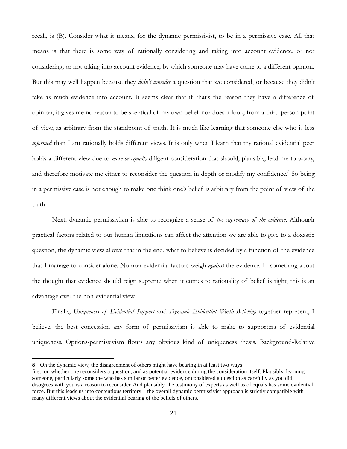recall, is (B). Consider what it means, for the dynamic permissivist, to be in a permissive case. All that means is that there is some way of rationally considering and taking into account evidence, or not considering, or not taking into account evidence, by which someone may have come to a different opinion. But this may well happen because they *didn't consider* a question that we considered, or because they didn't take as much evidence into account. It seems clear that if that's the reason they have a difference of opinion, it gives me no reason to be skeptical of my own belief nor does it look, from a third-person point of view, as arbitrary from the standpoint of truth. It is much like learning that someone else who is less *informed* than I am rationally holds different views. It is only when I learn that my rational evidential peer holds a different view due to *more or equally* diligent consideration that should, plausibly, lead me to worry, and therefore motivate me either to reconsider the question in depth or modify my confidence.<sup>8</sup> So being in a permissive case is not enough to make one think one's belief is arbitrary from the point of view of the truth.

Next, dynamic permissivism is able to recognize a sense of *the supremacy of the evidence*. Although practical factors related to our human limitations can affect the attention we are able to give to a doxastic question, the dynamic view allows that in the end, what to believe is decided by a function of the evidence that I manage to consider alone. No non-evidential factors weigh *against* the evidence. If something about the thought that evidence should reign supreme when it comes to rationality of belief is right, this is an advantage over the non-evidential view.

Finally, *Uniqueness of Evidential Support* and *Dynamic Evidential Worth Believing* together represent, I believe, the best concession any form of permissivism is able to make to supporters of evidential uniqueness. Options-permissivism flouts any obvious kind of uniqueness thesis. Background-Relative

 $\overline{a}$ 

**<sup>8</sup>** On the dynamic view, the disagreement of others might have bearing in at least two ways –

first, on whether one reconsiders a question, and as potential evidence during the consideration itself. Plausibly, learning someone, particularly someone who has similar or better evidence, or considered a question as carefully as you did, disagrees with you is a reason to reconsider. And plausibly, the testimony of experts as well as of equals has some evidential force. But this leads us into contentious territory – the overall dynamic permissivist approach is strictly compatible with many different views about the evidential bearing of the beliefs of others.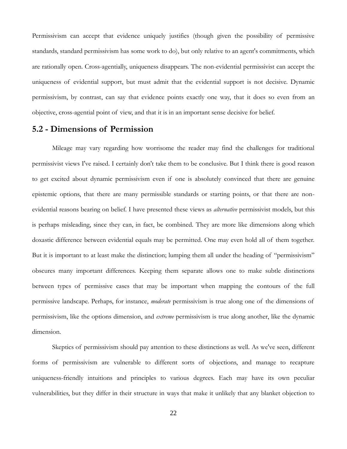Permissivism can accept that evidence uniquely justifies (though given the possibility of permissive standards, standard permissivism has some work to do), but only relative to an agent's commitments, which are rationally open. Cross-agentially, uniqueness disappears. The non-evidential permissivist can accept the uniqueness of evidential support, but must admit that the evidential support is not decisive. Dynamic permissivism, by contrast, can say that evidence points exactly one way, that it does so even from an objective, cross-agential point of view, and that it is in an important sense decisive for belief.

## **5.2 - Dimensions of Permission**

Mileage may vary regarding how worrisome the reader may find the challenges for traditional permissivist views I've raised. I certainly don't take them to be conclusive. But I think there is good reason to get excited about dynamic permissivism even if one is absolutely convinced that there are genuine epistemic options, that there are many permissible standards or starting points, or that there are nonevidential reasons bearing on belief. I have presented these views as *alternative* permissivist models, but this is perhaps misleading, since they can, in fact, be combined. They are more like dimensions along which doxastic difference between evidential equals may be permitted. One may even hold all of them together. But it is important to at least make the distinction; lumping them all under the heading of "permissivism" obscures many important differences. Keeping them separate allows one to make subtle distinctions between types of permissive cases that may be important when mapping the contours of the full permissive landscape. Perhaps, for instance, *moderate* permissivism is true along one of the dimensions of permissivism, like the options dimension, and *extreme* permissivism is true along another, like the dynamic dimension.

Skeptics of permissivism should pay attention to these distinctions as well. As we've seen, different forms of permissivism are vulnerable to different sorts of objections, and manage to recapture uniqueness-friendly intuitions and principles to various degrees. Each may have its own peculiar vulnerabilities, but they differ in their structure in ways that make it unlikely that any blanket objection to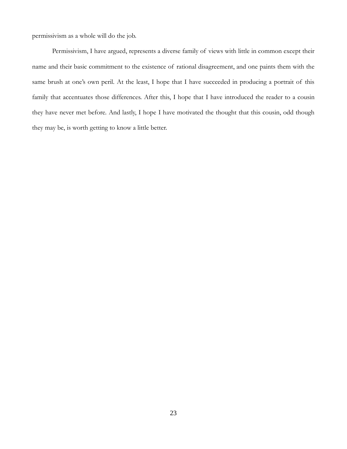permissivism as a whole will do the job.

Permissivism, I have argued, represents a diverse family of views with little in common except their name and their basic commitment to the existence of rational disagreement, and one paints them with the same brush at one's own peril. At the least, I hope that I have succeeded in producing a portrait of this family that accentuates those differences. After this, I hope that I have introduced the reader to a cousin they have never met before. And lastly, I hope I have motivated the thought that this cousin, odd though they may be, is worth getting to know a little better.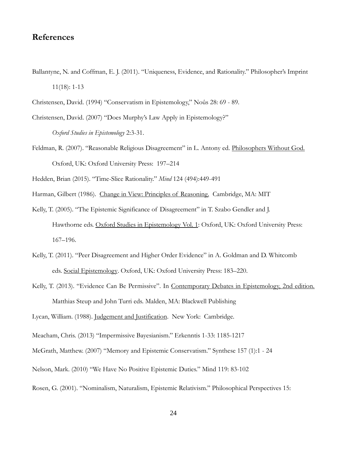# **References**

- Ballantyne, N. and Coffman, E. J. (2011). "Uniqueness, Evidence, and Rationality." Philosopher's Imprint 11(18): 1-13
- Christensen, David. (1994) "Conservatism in Epistemology," Noûs 28: 69 89.
- Christensen, David. (2007) "Does Murphy's Law Apply in Epistemology?" *Oxford Studies in Epistemology* 2:3-31.
- Feldman, R. (2007). "Reasonable Religious Disagreement" in L. Antony ed. Philosophers Without God. Oxford, UK: Oxford University Press: 197–214

Hedden, Brian (2015). "Time-Slice Rationality." *Mind* 124 (494):449-491

Harman, Gilbert (1986). Change in View: Principles of Reasoning. Cambridge, MA: MIT

- Kelly, T. (2005). "The Epistemic Significance of Disagreement" in T. Szabo Gendler and J. Hawthorne eds. Oxford Studies in Epistemology Vol. 1: Oxford, UK: Oxford University Press: 167–196.
- Kelly, T. (2011). "Peer Disagreement and Higher Order Evidence" in A. Goldman and D. Whitcomb eds. Social Epistemology. Oxford, UK: Oxford University Press: 183–220.
- Kelly, T. (2013). "Evidence Can Be Permissive". In Contemporary Debates in Epistemology, 2nd edition. Matthias Steup and John Turri eds. Malden, MA: Blackwell Publishing

Lycan, William. (1988). Judgement and Justification. New York: Cambridge.

Meacham, Chris. (2013) "Impermissive Bayesianism." Erkenntis 1-33: 1185-1217

McGrath, Matthew. (2007) "Memory and Epistemic Conservatism." Synthese 157 (1):1 - 24

Nelson, Mark. (2010) "We Have No Positive Epistemic Duties." Mind 119: 83-102

Rosen, G. (2001). "Nominalism, Naturalism, Epistemic Relativism." Philosophical Perspectives 15: